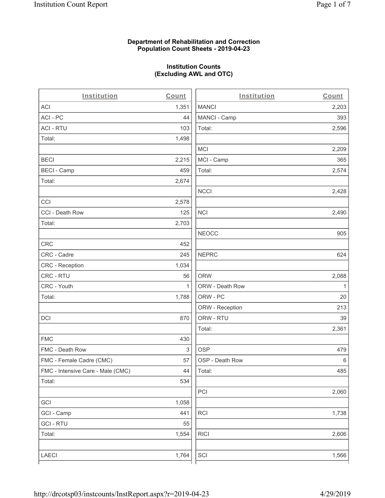#### **Department of Rehabilitation and Correction Population Count Sheets - 2019-04-23**

## **Institution Counts (Excluding AWL and OTC)**

. .

| Institution                       | Count | Institution     | Count        |
|-----------------------------------|-------|-----------------|--------------|
| ACI                               | 1,351 | <b>MANCI</b>    | 2,203        |
| ACI - PC                          | 44    | MANCI - Camp    | 393          |
| <b>ACI - RTU</b>                  | 103   | Total:          | 2,596        |
| Total:                            | 1,498 |                 |              |
|                                   |       | <b>MCI</b>      | 2,209        |
| <b>BECI</b>                       | 2,215 | MCI - Camp      | 365          |
| <b>BECI - Camp</b>                | 459   | Total:          | 2,574        |
| Total:                            | 2,674 |                 |              |
|                                   |       | <b>NCCI</b>     | 2,428        |
| CCI                               | 2,578 |                 |              |
| CCI - Death Row                   | 125   | <b>NCI</b>      | 2,490        |
| Total:                            | 2,703 |                 |              |
|                                   |       | <b>NEOCC</b>    | 905          |
| CRC                               | 452   |                 |              |
| CRC - Cadre                       | 245   | <b>NEPRC</b>    | 624          |
| CRC - Reception                   | 1,034 |                 |              |
| CRC - RTU                         | 56    | <b>ORW</b>      | 2,088        |
| CRC - Youth                       | 1     | ORW - Death Row | $\mathbf{1}$ |
| Total:                            | 1,788 | ORW - PC        | 20           |
|                                   |       | ORW - Reception | 213          |
| DCI                               | 870   | ORW - RTU       | 39           |
|                                   |       | Total:          | 2,361        |
| <b>FMC</b>                        | 430   |                 |              |
| FMC - Death Row                   | 3     | <b>OSP</b>      | 479          |
| FMC - Female Cadre (CMC)          | 57    | OSP - Death Row | 6            |
| FMC - Intensive Care - Male (CMC) | 44    | Total:          | 485          |
| Total:                            | 534   |                 |              |
|                                   |       | PCI             | 2,060        |
| GCI                               | 1,058 |                 |              |
| GCI - Camp                        | 441   | <b>RCI</b>      | 1,738        |
| <b>GCI - RTU</b>                  | 55    |                 |              |
| Total:                            | 1,554 | <b>RICI</b>     | 2,606        |
|                                   |       |                 |              |
| LAECI                             | 1,764 | SCI             | 1,566        |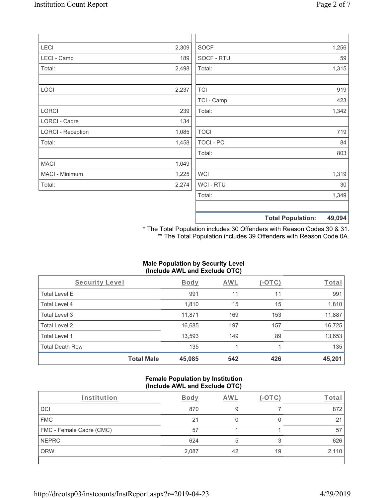| <b>LECI</b>              | 2,309 | <b>SOCF</b> | 1,256 |
|--------------------------|-------|-------------|-------|
| LECI - Camp              | 189   | SOCF - RTU  | 59    |
| Total:                   | 2,498 | Total:      | 1,315 |
|                          |       |             |       |
| LOCI                     | 2,237 | <b>TCI</b>  | 919   |
|                          |       | TCI - Camp  | 423   |
| <b>LORCI</b>             | 239   | Total:      | 1,342 |
| LORCI - Cadre            | 134   |             |       |
| <b>LORCI - Reception</b> | 1,085 | <b>TOCI</b> | 719   |
| Total:                   | 1,458 | TOCI - PC   | 84    |
|                          |       | Total:      | 803   |

\* The Total Population includes 30 Offenders with Reason Codes 30 & 31. \*\* The Total Population includes 39 Offenders with Reason Code 0A.

 $WCI$  1,319 WCI - RTU 30 Total: 1,349

**Total Population: 49,094**

## **Male Population by Security Level (Include AWL and Exclude OTC)**

| Security Level         |                   | Body   | AWL | (-OTC) | Total  |
|------------------------|-------------------|--------|-----|--------|--------|
| <b>Total Level E</b>   |                   | 991    | 11  | 11     | 991    |
| Total Level 4          |                   | 1,810  | 15  | 15     | 1,810  |
| Total Level 3          |                   | 11,871 | 169 | 153    | 11,887 |
| Total Level 2          |                   | 16,685 | 197 | 157    | 16,725 |
| Total Level 1          |                   | 13,593 | 149 | 89     | 13,653 |
| <b>Total Death Row</b> |                   | 135    |     |        | 135    |
|                        | <b>Total Male</b> | 45,085 | 542 | 426    | 45,201 |

#### **Female Population by Institution (Include AWL and Exclude OTC)**

| Institution              | Body  | AWI | (-OTC) | Lota  |
|--------------------------|-------|-----|--------|-------|
| DCI                      | 870   |     |        | 872   |
| <b>FMC</b>               | 21    |     |        | 21    |
| FMC - Female Cadre (CMC) | 57    |     |        | 57    |
| <b>NEPRC</b>             | 624   |     |        | 626   |
| <b>ORW</b>               | 2,087 | 42  | 19     | 2,110 |
|                          |       |     |        |       |

MACI 1,049 MACI - Minimum 1,225 Total: 2,274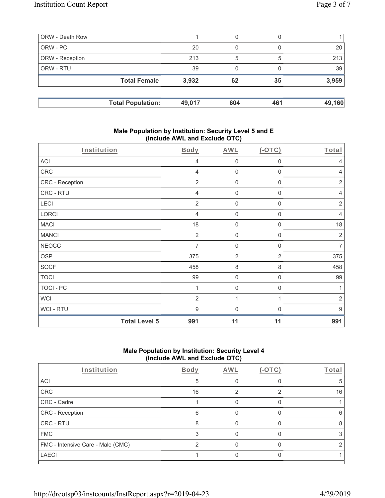| ORW - Death Row        |                          |        | 0   | 0   |        |
|------------------------|--------------------------|--------|-----|-----|--------|
| ORW - PC               |                          | 20     | 0   |     | 20     |
| <b>ORW</b> - Reception |                          | 213    | 5   | 5   | 213    |
| <b>ORW - RTU</b>       |                          | 39     | 0   |     | 39     |
|                        | <b>Total Female</b>      | 3,932  | 62  | 35  | 3,959  |
|                        |                          |        |     |     |        |
|                        | <b>Total Population:</b> | 49,017 | 604 | 461 | 49,160 |

#### **Male Population by Institution: Security Level 5 and E (Include AWL and Exclude OTC)**

| Institution      |                      | <b>Body</b>    | <b>AWL</b>          | $(-OTC)$         | Total            |
|------------------|----------------------|----------------|---------------------|------------------|------------------|
| <b>ACI</b>       |                      | 4              | $\mathsf{O}\xspace$ | $\boldsymbol{0}$ | 4                |
| CRC              |                      | $\overline{4}$ | $\mathsf{O}\xspace$ | $\boldsymbol{0}$ | $\overline{4}$   |
| CRC - Reception  |                      | $\overline{2}$ | $\mathsf{O}\xspace$ | $\boldsymbol{0}$ | $\sqrt{2}$       |
| CRC - RTU        |                      | 4              | $\boldsymbol{0}$    | $\mathbf 0$      | $\overline{4}$   |
| LECI             |                      | $\overline{2}$ | $\mathbf 0$         | $\mathbf 0$      | $\overline{2}$   |
| LORCI            |                      | $\overline{4}$ | $\mathbf 0$         | $\mathbf 0$      | $\overline{4}$   |
| <b>MACI</b>      |                      | 18             | $\mathbf 0$         | $\boldsymbol{0}$ | 18               |
| <b>MANCI</b>     |                      | $\overline{2}$ | $\mathbf 0$         | 0                | $\overline{2}$   |
| <b>NEOCC</b>     |                      | $\overline{7}$ | $\mathbf 0$         | $\mathbf 0$      | $\overline{7}$   |
| <b>OSP</b>       |                      | 375            | $\overline{2}$      | $\overline{2}$   | 375              |
| <b>SOCF</b>      |                      | 458            | 8                   | 8                | 458              |
| <b>TOCI</b>      |                      | 99             | $\mathbf 0$         | $\boldsymbol{0}$ | 99               |
| <b>TOCI - PC</b> |                      | 1              | $\mathbf 0$         | $\mathbf 0$      | 1                |
| <b>WCI</b>       |                      | $\overline{2}$ | 1                   | 1                | $\sqrt{2}$       |
| WCI-RTU          |                      | 9              | $\mathbf 0$         | 0                | $\boldsymbol{9}$ |
|                  | <b>Total Level 5</b> | 991            | 11                  | 11               | 991              |

## **Male Population by Institution: Security Level 4 (Include AWL and Exclude OTC)**

| Institution                       | <b>Body</b> | AWL | $(-1)$ | Total |
|-----------------------------------|-------------|-----|--------|-------|
| ACI                               | 5           |     |        |       |
| CRC                               | 16          |     | ⌒      | 16    |
| CRC - Cadre                       |             |     |        |       |
| CRC - Reception                   | 6           |     |        | 6     |
| CRC - RTU                         | 8           |     |        |       |
| <b>FMC</b>                        |             |     |        |       |
| FMC - Intensive Care - Male (CMC) |             |     |        |       |
| <b>LAECI</b>                      |             |     |        |       |
|                                   |             |     |        |       |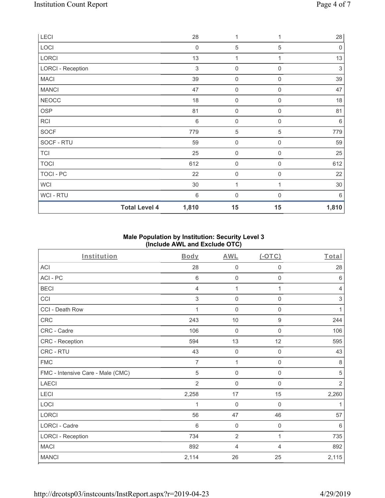| LECI                     | 28               | 1                   |                  | 28          |
|--------------------------|------------------|---------------------|------------------|-------------|
| LOCI                     | $\boldsymbol{0}$ | $\sqrt{5}$          | 5                | $\mathbf 0$ |
| LORCI                    | 13               | 1                   | 1                | 13          |
| <b>LORCI - Reception</b> | 3                | $\boldsymbol{0}$    | $\mathbf 0$      | $\sqrt{3}$  |
| <b>MACI</b>              | 39               | $\mathsf{O}\xspace$ | $\boldsymbol{0}$ | 39          |
| <b>MANCI</b>             | 47               | $\mathsf{O}\xspace$ | $\boldsymbol{0}$ | 47          |
| <b>NEOCC</b>             | 18               | $\mathsf{O}\xspace$ | 0                | 18          |
| OSP                      | 81               | $\mathsf{O}\xspace$ | $\mathbf 0$      | 81          |
| <b>RCI</b>               | $\,6$            | $\boldsymbol{0}$    | $\boldsymbol{0}$ | 6           |
| SOCF                     | 779              | $\mathbf 5$         | 5                | 779         |
| SOCF - RTU               | 59               | $\mathsf{O}\xspace$ | $\mathbf 0$      | 59          |
| <b>TCI</b>               | 25               | $\mathsf{O}\xspace$ | $\mathbf 0$      | 25          |
| <b>TOCI</b>              | 612              | $\mathbf 0$         | $\mathbf 0$      | 612         |
| TOCI - PC                | 22               | $\mathbf 0$         | $\mathbf 0$      | 22          |
| <b>WCI</b>               | 30               | 1                   | 1                | 30          |
| <b>WCI-RTU</b>           | 6                | $\boldsymbol{0}$    | $\Omega$         | 6           |
| <b>Total Level 4</b>     | 1,810            | 15                  | 15               | 1,810       |

# **Male Population by Institution: Security Level 3 (Include AWL and Exclude OTC)**

| Institution                       | Body            | <b>AWL</b>       | $($ -OTC $)$        | Total           |
|-----------------------------------|-----------------|------------------|---------------------|-----------------|
| <b>ACI</b>                        | 28              | $\mathbf 0$      | 0                   | 28              |
| ACI-PC                            | 6               | $\mathbf 0$      | $\mathsf{O}\xspace$ | $6\phantom{1}6$ |
| <b>BECI</b>                       | 4               | 1                | 1                   | $\overline{4}$  |
| CCI                               | 3               | $\boldsymbol{0}$ | 0                   | $\,$ 3 $\,$     |
| CCI - Death Row                   |                 | $\mathbf 0$      | 0                   | 1               |
| CRC                               | 243             | 10               | $9\,$               | 244             |
| CRC - Cadre                       | 106             | $\mathbf 0$      | $\mathsf 0$         | 106             |
| <b>CRC - Reception</b>            | 594             | 13               | 12                  | 595             |
| CRC - RTU                         | 43              | $\boldsymbol{0}$ | $\mathsf{O}\xspace$ | 43              |
| <b>FMC</b>                        | $\overline{7}$  | 1                | $\mathsf{O}\xspace$ | $\,8\,$         |
| FMC - Intensive Care - Male (CMC) | 5               | $\mathbf 0$      | 0                   | $\,$ 5 $\,$     |
| <b>LAECI</b>                      | $\overline{2}$  | $\overline{0}$   | 0                   | $\overline{2}$  |
| LECI                              | 2,258           | 17               | 15                  | 2,260           |
| LOCI                              | 1               | $\overline{0}$   | 0                   | 1               |
| <b>LORCI</b>                      | 56              | 47               | 46                  | 57              |
| <b>LORCI - Cadre</b>              | $6\phantom{1}6$ | $\boldsymbol{0}$ | $\mathsf{O}\xspace$ | 6               |
| <b>LORCI - Reception</b>          | 734             | $\overline{2}$   | 1                   | 735             |
| <b>MACI</b>                       | 892             | 4                | 4                   | 892             |
| <b>MANCI</b>                      | 2,114           | 26               | 25                  | 2,115           |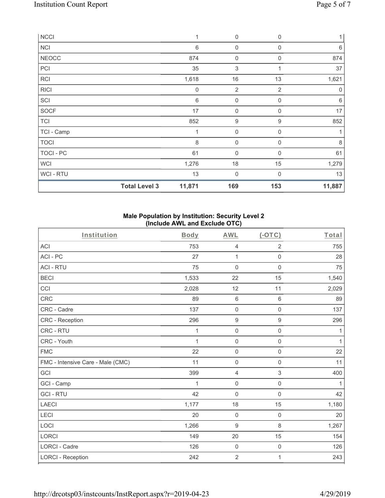| <b>NCCI</b>    |                      | 1                | 0                   | $\mathbf 0$      | 1       |
|----------------|----------------------|------------------|---------------------|------------------|---------|
| <b>NCI</b>     |                      | $\,6$            | $\boldsymbol{0}$    | $\mathbf 0$      | 6       |
| <b>NEOCC</b>   |                      | 874              | $\boldsymbol{0}$    | $\mathbf 0$      | 874     |
| PCI            |                      | 35               | $\,$ 3 $\,$         | 1                | 37      |
| <b>RCI</b>     |                      | 1,618            | 16                  | 13               | 1,621   |
| <b>RICI</b>    |                      | $\boldsymbol{0}$ | $\overline{2}$      | $\overline{2}$   | 0       |
| SCI            |                      | $\,6$            | $\mathsf{O}\xspace$ | $\boldsymbol{0}$ | 6       |
| SOCF           |                      | 17               | $\mathbf 0$         | $\mathbf 0$      | 17      |
| <b>TCI</b>     |                      | 852              | $\boldsymbol{9}$    | 9                | 852     |
| TCI - Camp     |                      | 1                | $\boldsymbol{0}$    | $\mathbf 0$      |         |
| <b>TOCI</b>    |                      | 8                | $\boldsymbol{0}$    | $\Omega$         | $\,8\,$ |
| TOCI - PC      |                      | 61               | 0                   | $\Omega$         | 61      |
| <b>WCI</b>     |                      | 1,276            | 18                  | 15               | 1,279   |
| <b>WCI-RTU</b> |                      | 13               | 0                   | $\Omega$         | 13      |
|                | <b>Total Level 3</b> | 11,871           | 169                 | 153              | 11,887  |

#### **Male Population by Institution: Security Level 2 (Include AWL and Exclude OTC)**

| Institution                       | <b>Body</b> | <b>AWL</b>          | (OTC)               | Total        |
|-----------------------------------|-------------|---------------------|---------------------|--------------|
| <b>ACI</b>                        | 753         | 4                   | $\overline{2}$      | 755          |
| ACI-PC                            | 27          | $\mathbf{1}$        | 0                   | 28           |
| <b>ACI - RTU</b>                  | 75          | $\mathbf 0$         | $\mathbf 0$         | 75           |
| <b>BECI</b>                       | 1,533       | 22                  | 15                  | 1,540        |
| CCI                               | 2,028       | 12                  | 11                  | 2,029        |
| <b>CRC</b>                        | 89          | 6                   | 6                   | 89           |
| CRC - Cadre                       | 137         | $\mathbf 0$         | $\mathbf 0$         | 137          |
| <b>CRC</b> - Reception            | 296         | $\boldsymbol{9}$    | $\hbox{9}$          | 296          |
| CRC - RTU                         | 1           | $\mathbf 0$         | $\mathbf 0$         | 1            |
| CRC - Youth                       | 1           | $\mathbf 0$         | $\mathsf 0$         | 1            |
| <b>FMC</b>                        | 22          | $\mathsf{O}\xspace$ | $\mathsf{O}\xspace$ | 22           |
| FMC - Intensive Care - Male (CMC) | 11          | $\mathbf 0$         | $\mathbf 0$         | 11           |
| GCI                               | 399         | $\overline{4}$      | 3                   | 400          |
| GCI - Camp                        | 1           | $\mathbf 0$         | $\mathsf{O}\xspace$ | $\mathbf{1}$ |
| <b>GCI-RTU</b>                    | 42          | $\mathsf{O}\xspace$ | $\mathsf 0$         | 42           |
| <b>LAECI</b>                      | 1,177       | 18                  | 15                  | 1,180        |
| LECI                              | 20          | $\mathbf 0$         | $\mathsf 0$         | 20           |
| LOCI                              | 1,266       | 9                   | 8                   | 1,267        |
| <b>LORCI</b>                      | 149         | 20                  | 15                  | 154          |
| LORCI - Cadre                     | 126         | $\mathbf 0$         | $\mathsf{O}\xspace$ | 126          |
| <b>LORCI - Reception</b>          | 242         | $\overline{2}$      | 1                   | 243          |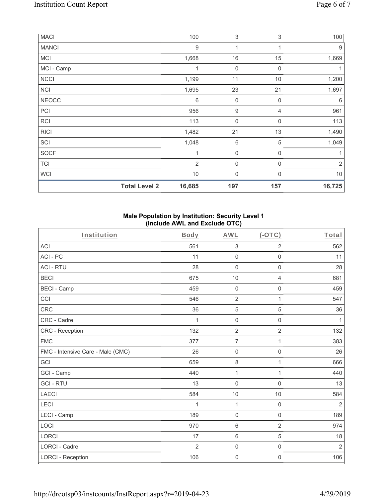| <b>MACI</b>  |                      | 100              | 3                | 3              | 100        |
|--------------|----------------------|------------------|------------------|----------------|------------|
| <b>MANCI</b> |                      | $\boldsymbol{9}$ | 1                | 1              | 9          |
| <b>MCI</b>   |                      | 1,668            | 16               | 15             | 1,669      |
| MCI - Camp   |                      | 1                | $\boldsymbol{0}$ | $\mathbf 0$    | 1          |
| <b>NCCI</b>  |                      | 1,199            | 11               | 10             | 1,200      |
| <b>NCI</b>   |                      | 1,695            | 23               | 21             | 1,697      |
| <b>NEOCC</b> |                      | 6                | $\boldsymbol{0}$ | 0              | 6          |
| PCI          |                      | 956              | $\boldsymbol{9}$ | $\overline{4}$ | 961        |
| <b>RCI</b>   |                      | 113              | $\boldsymbol{0}$ | 0              | 113        |
| <b>RICI</b>  |                      | 1,482            | 21               | 13             | 1,490      |
| SCI          |                      | 1,048            | 6                | $\mathbf 5$    | 1,049      |
| SOCF         |                      | 1                | $\mathbf 0$      | $\mathbf 0$    | 1          |
| TCI          |                      | $\overline{2}$   | $\mathbf 0$      | 0              | $\sqrt{2}$ |
| <b>WCI</b>   |                      | 10               | $\mathbf 0$      | $\Omega$       | 10         |
|              | <b>Total Level 2</b> | 16,685           | 197              | 157            | 16,725     |

#### **Male Population by Institution: Security Level 1 (Include AWL and Exclude OTC)**

| Institution                       | <b>Body</b>    | <b>AWL</b>          | $($ -OTC $)$        | Total          |
|-----------------------------------|----------------|---------------------|---------------------|----------------|
| <b>ACI</b>                        | 561            | $\sqrt{3}$          | $\overline{2}$      | 562            |
| ACI-PC                            | 11             | $\mathbf 0$         | $\mathsf 0$         | 11             |
| <b>ACI - RTU</b>                  | 28             | $\mathbf 0$         | $\mathbf 0$         | 28             |
| <b>BECI</b>                       | 675            | 10                  | 4                   | 681            |
| <b>BECI - Camp</b>                | 459            | $\mathbf 0$         | 0                   | 459            |
| CCI                               | 546            | $\overline{2}$      | 1                   | 547            |
| <b>CRC</b>                        | 36             | $\sqrt{5}$          | 5                   | 36             |
| CRC - Cadre                       | 1              | $\mathsf{O}\xspace$ | 0                   | 1              |
| CRC - Reception                   | 132            | $\overline{2}$      | $\overline{2}$      | 132            |
| <b>FMC</b>                        | 377            | $\overline{7}$      | 1                   | 383            |
| FMC - Intensive Care - Male (CMC) | 26             | $\mathsf{O}\xspace$ | $\mathsf{O}\xspace$ | 26             |
| GCI                               | 659            | 8                   | 1                   | 666            |
| GCI - Camp                        | 440            | $\mathbf{1}$        | 1                   | 440            |
| <b>GCI-RTU</b>                    | 13             | $\mathbf 0$         | $\mathbf 0$         | 13             |
| <b>LAECI</b>                      | 584            | 10                  | 10                  | 584            |
| <b>LECI</b>                       | 1              | $\mathbf{1}$        | 0                   | $\overline{2}$ |
| LECI - Camp                       | 189            | $\mathsf{O}\xspace$ | $\mathsf{O}\xspace$ | 189            |
| LOCI                              | 970            | $\,6\,$             | $\overline{2}$      | 974            |
| <b>LORCI</b>                      | 17             | $\,6\,$             | 5                   | 18             |
| LORCI - Cadre                     | $\overline{2}$ | $\mathsf{O}\xspace$ | $\mathsf 0$         | $\overline{2}$ |
| <b>LORCI - Reception</b>          | 106            | $\mathsf{O}\xspace$ | 0                   | 106            |